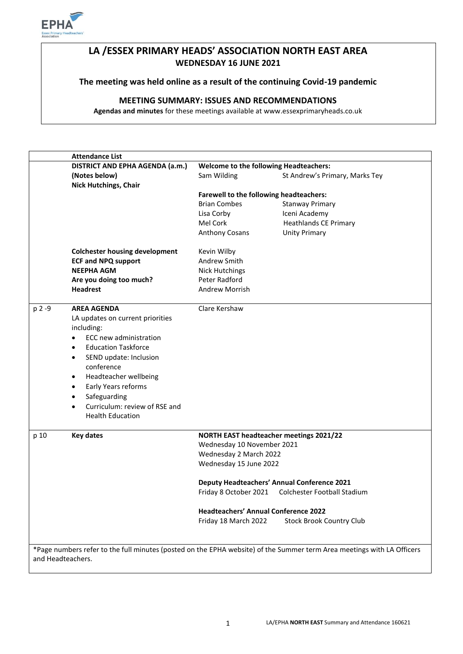

# **LA /ESSEX PRIMARY HEADS' ASSOCIATION NORTH EAST AREA WEDNESDAY 16 JUNE 2021**

## **The meeting was held online as a result of the continuing Covid-19 pandemic**

# **MEETING SUMMARY: ISSUES AND RECOMMENDATIONS**

**Agendas and minutes** for these meetings available at www.essexprimaryheads.co.uk

| DISTRICT AND EPHA AGENDA (a.m.)<br><b>Welcome to the following Headteachers:</b><br>Sam Wilding<br>St Andrew's Primary, Marks Tey<br>(Notes below)<br><b>Nick Hutchings, Chair</b><br>Farewell to the following headteachers:<br><b>Brian Combes</b><br><b>Stanway Primary</b><br>Iceni Academy<br>Lisa Corby<br>Mel Cork<br><b>Heathlands CE Primary</b><br>Anthony Cosans<br><b>Unity Primary</b><br><b>Colchester housing development</b><br>Kevin Wilby<br><b>ECF and NPQ support</b><br>Andrew Smith<br><b>NEEPHA AGM</b><br><b>Nick Hutchings</b><br>Are you doing too much?<br>Peter Radford<br><b>Headrest</b><br><b>Andrew Morrish</b><br><b>AREA AGENDA</b><br>Clare Kershaw<br>p 2 -9<br>LA updates on current priorities<br>including:<br>ECC new administration<br>$\bullet$<br><b>Education Taskforce</b><br>$\bullet$<br>SEND update: Inclusion<br>$\bullet$<br>conference<br>Headteacher wellbeing<br>$\bullet$<br>Early Years reforms<br>$\bullet$<br>Safeguarding<br>٠<br>Curriculum: review of RSE and<br>$\bullet$<br><b>Health Education</b><br><b>Key dates</b><br><b>NORTH EAST headteacher meetings 2021/22</b><br>p 10<br>Wednesday 10 November 2021<br>Wednesday 2 March 2022<br>Wednesday 15 June 2022<br><b>Deputy Headteachers' Annual Conference 2021</b><br>Friday 8 October 2021<br><b>Colchester Football Stadium</b><br><b>Headteachers' Annual Conference 2022</b><br>Friday 18 March 2022<br><b>Stock Brook Country Club</b><br>*Page numbers refer to the full minutes (posted on the EPHA website) of the Summer term Area meetings with LA Officers | <b>Attendance List</b> |  |  |  |
|--------------------------------------------------------------------------------------------------------------------------------------------------------------------------------------------------------------------------------------------------------------------------------------------------------------------------------------------------------------------------------------------------------------------------------------------------------------------------------------------------------------------------------------------------------------------------------------------------------------------------------------------------------------------------------------------------------------------------------------------------------------------------------------------------------------------------------------------------------------------------------------------------------------------------------------------------------------------------------------------------------------------------------------------------------------------------------------------------------------------------------------------------------------------------------------------------------------------------------------------------------------------------------------------------------------------------------------------------------------------------------------------------------------------------------------------------------------------------------------------------------------------------------------------------------------------------------------------|------------------------|--|--|--|
|                                                                                                                                                                                                                                                                                                                                                                                                                                                                                                                                                                                                                                                                                                                                                                                                                                                                                                                                                                                                                                                                                                                                                                                                                                                                                                                                                                                                                                                                                                                                                                                            |                        |  |  |  |
|                                                                                                                                                                                                                                                                                                                                                                                                                                                                                                                                                                                                                                                                                                                                                                                                                                                                                                                                                                                                                                                                                                                                                                                                                                                                                                                                                                                                                                                                                                                                                                                            |                        |  |  |  |
|                                                                                                                                                                                                                                                                                                                                                                                                                                                                                                                                                                                                                                                                                                                                                                                                                                                                                                                                                                                                                                                                                                                                                                                                                                                                                                                                                                                                                                                                                                                                                                                            |                        |  |  |  |
|                                                                                                                                                                                                                                                                                                                                                                                                                                                                                                                                                                                                                                                                                                                                                                                                                                                                                                                                                                                                                                                                                                                                                                                                                                                                                                                                                                                                                                                                                                                                                                                            |                        |  |  |  |
|                                                                                                                                                                                                                                                                                                                                                                                                                                                                                                                                                                                                                                                                                                                                                                                                                                                                                                                                                                                                                                                                                                                                                                                                                                                                                                                                                                                                                                                                                                                                                                                            |                        |  |  |  |
|                                                                                                                                                                                                                                                                                                                                                                                                                                                                                                                                                                                                                                                                                                                                                                                                                                                                                                                                                                                                                                                                                                                                                                                                                                                                                                                                                                                                                                                                                                                                                                                            |                        |  |  |  |
|                                                                                                                                                                                                                                                                                                                                                                                                                                                                                                                                                                                                                                                                                                                                                                                                                                                                                                                                                                                                                                                                                                                                                                                                                                                                                                                                                                                                                                                                                                                                                                                            |                        |  |  |  |
|                                                                                                                                                                                                                                                                                                                                                                                                                                                                                                                                                                                                                                                                                                                                                                                                                                                                                                                                                                                                                                                                                                                                                                                                                                                                                                                                                                                                                                                                                                                                                                                            |                        |  |  |  |
|                                                                                                                                                                                                                                                                                                                                                                                                                                                                                                                                                                                                                                                                                                                                                                                                                                                                                                                                                                                                                                                                                                                                                                                                                                                                                                                                                                                                                                                                                                                                                                                            |                        |  |  |  |
|                                                                                                                                                                                                                                                                                                                                                                                                                                                                                                                                                                                                                                                                                                                                                                                                                                                                                                                                                                                                                                                                                                                                                                                                                                                                                                                                                                                                                                                                                                                                                                                            |                        |  |  |  |
|                                                                                                                                                                                                                                                                                                                                                                                                                                                                                                                                                                                                                                                                                                                                                                                                                                                                                                                                                                                                                                                                                                                                                                                                                                                                                                                                                                                                                                                                                                                                                                                            |                        |  |  |  |
|                                                                                                                                                                                                                                                                                                                                                                                                                                                                                                                                                                                                                                                                                                                                                                                                                                                                                                                                                                                                                                                                                                                                                                                                                                                                                                                                                                                                                                                                                                                                                                                            |                        |  |  |  |
|                                                                                                                                                                                                                                                                                                                                                                                                                                                                                                                                                                                                                                                                                                                                                                                                                                                                                                                                                                                                                                                                                                                                                                                                                                                                                                                                                                                                                                                                                                                                                                                            |                        |  |  |  |
|                                                                                                                                                                                                                                                                                                                                                                                                                                                                                                                                                                                                                                                                                                                                                                                                                                                                                                                                                                                                                                                                                                                                                                                                                                                                                                                                                                                                                                                                                                                                                                                            |                        |  |  |  |
|                                                                                                                                                                                                                                                                                                                                                                                                                                                                                                                                                                                                                                                                                                                                                                                                                                                                                                                                                                                                                                                                                                                                                                                                                                                                                                                                                                                                                                                                                                                                                                                            |                        |  |  |  |
|                                                                                                                                                                                                                                                                                                                                                                                                                                                                                                                                                                                                                                                                                                                                                                                                                                                                                                                                                                                                                                                                                                                                                                                                                                                                                                                                                                                                                                                                                                                                                                                            |                        |  |  |  |
|                                                                                                                                                                                                                                                                                                                                                                                                                                                                                                                                                                                                                                                                                                                                                                                                                                                                                                                                                                                                                                                                                                                                                                                                                                                                                                                                                                                                                                                                                                                                                                                            |                        |  |  |  |
|                                                                                                                                                                                                                                                                                                                                                                                                                                                                                                                                                                                                                                                                                                                                                                                                                                                                                                                                                                                                                                                                                                                                                                                                                                                                                                                                                                                                                                                                                                                                                                                            |                        |  |  |  |
|                                                                                                                                                                                                                                                                                                                                                                                                                                                                                                                                                                                                                                                                                                                                                                                                                                                                                                                                                                                                                                                                                                                                                                                                                                                                                                                                                                                                                                                                                                                                                                                            |                        |  |  |  |
|                                                                                                                                                                                                                                                                                                                                                                                                                                                                                                                                                                                                                                                                                                                                                                                                                                                                                                                                                                                                                                                                                                                                                                                                                                                                                                                                                                                                                                                                                                                                                                                            |                        |  |  |  |
|                                                                                                                                                                                                                                                                                                                                                                                                                                                                                                                                                                                                                                                                                                                                                                                                                                                                                                                                                                                                                                                                                                                                                                                                                                                                                                                                                                                                                                                                                                                                                                                            |                        |  |  |  |
|                                                                                                                                                                                                                                                                                                                                                                                                                                                                                                                                                                                                                                                                                                                                                                                                                                                                                                                                                                                                                                                                                                                                                                                                                                                                                                                                                                                                                                                                                                                                                                                            |                        |  |  |  |
|                                                                                                                                                                                                                                                                                                                                                                                                                                                                                                                                                                                                                                                                                                                                                                                                                                                                                                                                                                                                                                                                                                                                                                                                                                                                                                                                                                                                                                                                                                                                                                                            |                        |  |  |  |
|                                                                                                                                                                                                                                                                                                                                                                                                                                                                                                                                                                                                                                                                                                                                                                                                                                                                                                                                                                                                                                                                                                                                                                                                                                                                                                                                                                                                                                                                                                                                                                                            |                        |  |  |  |
|                                                                                                                                                                                                                                                                                                                                                                                                                                                                                                                                                                                                                                                                                                                                                                                                                                                                                                                                                                                                                                                                                                                                                                                                                                                                                                                                                                                                                                                                                                                                                                                            |                        |  |  |  |
|                                                                                                                                                                                                                                                                                                                                                                                                                                                                                                                                                                                                                                                                                                                                                                                                                                                                                                                                                                                                                                                                                                                                                                                                                                                                                                                                                                                                                                                                                                                                                                                            |                        |  |  |  |
|                                                                                                                                                                                                                                                                                                                                                                                                                                                                                                                                                                                                                                                                                                                                                                                                                                                                                                                                                                                                                                                                                                                                                                                                                                                                                                                                                                                                                                                                                                                                                                                            |                        |  |  |  |
|                                                                                                                                                                                                                                                                                                                                                                                                                                                                                                                                                                                                                                                                                                                                                                                                                                                                                                                                                                                                                                                                                                                                                                                                                                                                                                                                                                                                                                                                                                                                                                                            |                        |  |  |  |
|                                                                                                                                                                                                                                                                                                                                                                                                                                                                                                                                                                                                                                                                                                                                                                                                                                                                                                                                                                                                                                                                                                                                                                                                                                                                                                                                                                                                                                                                                                                                                                                            |                        |  |  |  |
|                                                                                                                                                                                                                                                                                                                                                                                                                                                                                                                                                                                                                                                                                                                                                                                                                                                                                                                                                                                                                                                                                                                                                                                                                                                                                                                                                                                                                                                                                                                                                                                            |                        |  |  |  |
|                                                                                                                                                                                                                                                                                                                                                                                                                                                                                                                                                                                                                                                                                                                                                                                                                                                                                                                                                                                                                                                                                                                                                                                                                                                                                                                                                                                                                                                                                                                                                                                            |                        |  |  |  |
|                                                                                                                                                                                                                                                                                                                                                                                                                                                                                                                                                                                                                                                                                                                                                                                                                                                                                                                                                                                                                                                                                                                                                                                                                                                                                                                                                                                                                                                                                                                                                                                            |                        |  |  |  |
|                                                                                                                                                                                                                                                                                                                                                                                                                                                                                                                                                                                                                                                                                                                                                                                                                                                                                                                                                                                                                                                                                                                                                                                                                                                                                                                                                                                                                                                                                                                                                                                            |                        |  |  |  |
|                                                                                                                                                                                                                                                                                                                                                                                                                                                                                                                                                                                                                                                                                                                                                                                                                                                                                                                                                                                                                                                                                                                                                                                                                                                                                                                                                                                                                                                                                                                                                                                            |                        |  |  |  |
|                                                                                                                                                                                                                                                                                                                                                                                                                                                                                                                                                                                                                                                                                                                                                                                                                                                                                                                                                                                                                                                                                                                                                                                                                                                                                                                                                                                                                                                                                                                                                                                            |                        |  |  |  |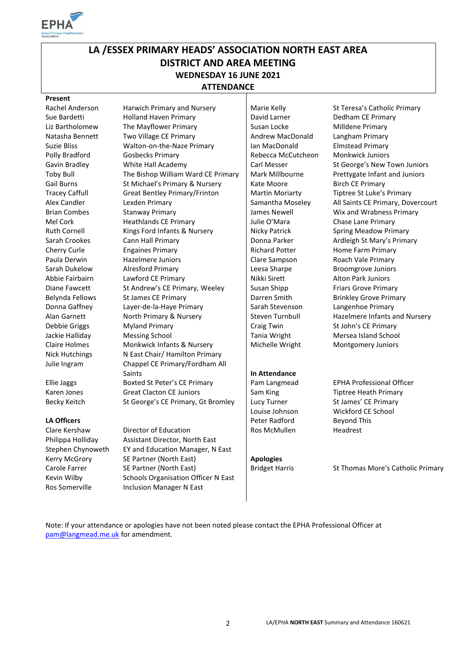

# **LA /ESSEX PRIMARY HEADS' ASSOCIATION NORTH EAST AREA DISTRICT AND AREA MEETING WEDNESDAY 16 JUNE 2021 ATTENDANCE**

#### **Present**

Rachel Anderson Harwich Primary and Nursery Marie Kelly St Teresa's Catholic Primary Sue Bardetti **Holland Haven Primary David Larner** Dedham CE Primary Liz Bartholomew The Mayflower Primary Susan Locke Susan Locke Milldene Primary Natasha Bennett Two Village CE Primary **Andrew MacDonald** Langham Primary Suzie Bliss **Walton-on-the-Naze Primary** Ian MacDonald Elmstead Primary Polly Bradford Gosbecks Primary **Rebecca McCutcheon** Monkwick Juniors Gavin Bradley **White Hall Academy** Carl Messer St George's New Town Juniors Toby Bull The Bishop William Ward CE Primary | Mark Millbourne Prettygate Infant and Juniors Gail Burns St Michael's Primary & Nursery Rate Moore Birch CE Primary Tracey Caffull Great Bentley Primary/Frinton | Martin Moriarty Tiptree St Luke's Primary Alex Candler Lexden Primary Samantha Moseley All Saints CE Primary, Dovercourt Brian Combes Stanway Primary Stanway Primary Superson Stanway Musum Lames Newell Wix and Wrabness Primary Mel Cork **Heathlands CE Primary** Julie O'Mara Chase Lane Primary Ruth Cornell Kings Ford Infants & Nursery Nicky Patrick Spring Meadow Primary Sarah Crookes Cann Hall Primary Donna Parker Ardleigh St Mary's Primary Cherry Curle Engaines Primary Engative Richard Potter Home Farm Primary<br>
Paula Derwin Hazelmere Juniors Electronic Clare Sampson Roach Vale Primary Paula Derwin Hazelmere Juniors Clare Sampson Roach Vale Primary Sarah Dukelow Alresford Primary Leesa Sharpe Broomgrove Juniors Abbie Fairbairn Lawford CE Primary Nikki Sirett Alton Park Juniors Diane Fawcett St Andrew's CE Primary, Weeley Susan Shipp Friars Grove Primary Belynda Fellows St James CE Primary **Darren Smith Brinkley Grove Primary** Darren Smith Donna Gaffney Layer-de-la-Haye Primary Sarah Stevenson Langenhoe Primary Alan Garnett North Primary & Nursery Steven Turnbull Hazelmere Infants and Nursery Debbie Griggs Myland Primary Craig Twin St John's CE Primary Jackie Halliday Messing School **Messing School** Tania Wright Mersea Island School Claire Holmes Monkwick Infants & Nursery Michelle Wright Montgomery Juniors Nick Hutchings N East Chair/ Hamilton Primary Julie Ingram Chappel CE Primary/Fordham All Saints **In Attendance** Ellie Jaggs Boxted St Peter's CE Primary Pam Langmead EPHA Professional Officer Karen Jones Great Clacton CE Juniors Sam King Tiptree Heath Primary

Becky Keitch St George's CE Primary, Gt Bromley Lucy Turner St James' CE Primary

Clare Kershaw Director of Education Ros McMullen Headrest Philippa Holliday Assistant Director, North East Stephen Chynoweth EY and Education Manager, N East Kerry McGrory SE Partner (North East) **Apologies** Kevin Wilby Schools Organisation Officer N East Ros Somerville Inclusion Manager N East

**LA Officers Peter Radford** Beyond This

Louise Johnson Wickford CE School

Carole Farrer SE Partner (North East) Bridget Harris St Thomas More's Catholic Primary

Note: If your attendance or apologies have not been noted please contact the EPHA Professional Officer at [pam@langmead.me.uk](mailto:pam@langmead.me.uk) for amendment.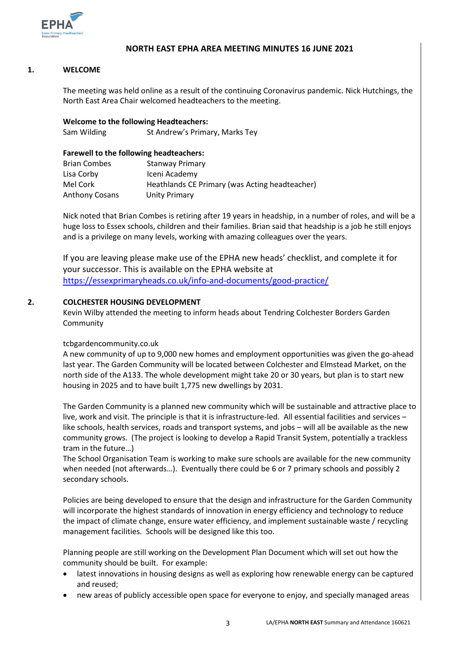

# **NORTH EAST EPHA AREA MEETING MINUTES 16 JUNE 2021**

### **1. WELCOME**

The meeting was held online as a result of the continuing Coronavirus pandemic. Nick Hutchings, the North East Area Chair welcomed headteachers to the meeting.

**Welcome to the following Headteachers:** Sam Wilding St Andrew's Primary, Marks Tey

### **Farewell to the following headteachers:**

| <b>Brian Combes</b>   | Stanway Primary                                |
|-----------------------|------------------------------------------------|
| Lisa Corby            | Iceni Academy                                  |
| Mel Cork              | Heathlands CE Primary (was Acting headteacher) |
| <b>Anthony Cosans</b> | Unity Primary                                  |

Nick noted that Brian Combes is retiring after 19 years in headship, in a number of roles, and will be a huge loss to Essex schools, children and their families. Brian said that headship is a job he still enjoys and is a privilege on many levels, working with amazing colleagues over the years.

If you are leaving please make use of the EPHA new heads' checklist, and complete it for your successor. This is available on the EPHA website at <https://essexprimaryheads.co.uk/info-and-documents/good-practice/>

### **2. COLCHESTER HOUSING DEVELOPMENT**

Kevin Wilby attended the meeting to inform heads about Tendring Colchester Borders Garden **Community** 

#### tcbgardencommunity.co.uk

A new community of up to 9,000 new homes and employment opportunities was given the go-ahead last year. The Garden Community will be located between Colchester and Elmstead Market, on the north side of the A133. The whole development might take 20 or 30 years, but plan is to start new housing in 2025 and to have built 1,775 new dwellings by 2031.

The Garden Community is a planned new community which will be sustainable and attractive place to live, work and visit. The principle is that it is infrastructure-led. All essential facilities and services – like schools, health services, roads and transport systems, and jobs – will all be available as the new community grows. (The project is looking to develop a Rapid Transit System, potentially a trackless tram in the future…)

The School Organisation Team is working to make sure schools are available for the new community when needed (not afterwards…). Eventually there could be 6 or 7 primary schools and possibly 2 secondary schools.

Policies are being developed to ensure that the design and infrastructure for the Garden Community will incorporate the highest standards of innovation in energy efficiency and technology to reduce the impact of climate change, ensure water efficiency, and implement sustainable waste / recycling management facilities. Schools will be designed like this too.

Planning people are still working on the Development Plan Document which will set out how the community should be built. For example:

- latest innovations in housing designs as well as exploring how renewable energy can be captured and reused;
- new areas of publicly accessible open space for everyone to enjoy, and specially managed areas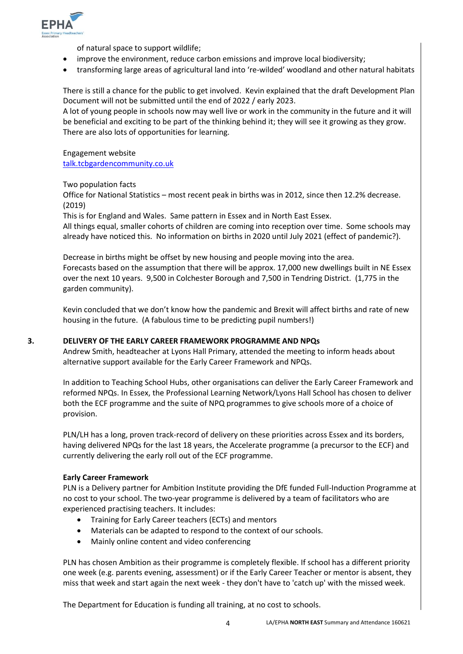

of natural space to support wildlife;

- improve the environment, reduce carbon emissions and improve local biodiversity;
- transforming large areas of agricultural land into 're-wilded' woodland and other natural habitats

There is still a chance for the public to get involved. Kevin explained that the draft Development Plan Document will not be submitted until the end of 2022 / early 2023.

A lot of young people in schools now may well live or work in the community in the future and it will be beneficial and exciting to be part of the thinking behind it; they will see it growing as they grow. There are also lots of opportunities for learning.

Engagement website [talk.tcbgardencommunity.co.uk](https://talk.tcbgardencommunity.co.uk/)

Two population facts

Office for National Statistics – most recent peak in births was in 2012, since then 12.2% decrease. (2019)

This is for England and Wales. Same pattern in Essex and in North East Essex. All things equal, smaller cohorts of children are coming into reception over time. Some schools may already have noticed this. No information on births in 2020 until July 2021 (effect of pandemic?).

Decrease in births might be offset by new housing and people moving into the area. Forecasts based on the assumption that there will be approx. 17,000 new dwellings built in NE Essex over the next 10 years. 9,500 in Colchester Borough and 7,500 in Tendring District. (1,775 in the garden community).

Kevin concluded that we don't know how the pandemic and Brexit will affect births and rate of new housing in the future. (A fabulous time to be predicting pupil numbers!)

# **3. DELIVERY OF THE EARLY CAREER FRAMEWORK PROGRAMME AND NPQs**

Andrew Smith, headteacher at Lyons Hall Primary, attended the meeting to inform heads about alternative support available for the Early Career Framework and NPQs.

In addition to Teaching School Hubs, other organisations can deliver the Early Career Framework and reformed NPQs. In Essex, the Professional Learning Network/Lyons Hall School has chosen to deliver both the ECF programme and the suite of NPQ programmes to give schools more of a choice of provision.

PLN/LH has a long, proven track-record of delivery on these priorities across Essex and its borders, having delivered NPQs for the last 18 years, the Accelerate programme (a precursor to the ECF) and currently delivering the early roll out of the ECF programme.

#### **Early Career Framework**

PLN is a Delivery partner for Ambition Institute providing the DfE funded Full-Induction Programme at no cost to your school. The two-year programme is delivered by a team of facilitators who are experienced practising teachers. It includes:

- Training for Early Career teachers (ECTs) and mentors
- Materials can be adapted to respond to the context of our schools.
- Mainly online content and video conferencing

PLN has chosen Ambition as their programme is completely flexible. If school has a different priority one week (e.g. parents evening, assessment) or if the Early Career Teacher or mentor is absent, they miss that week and start again the next week - they don't have to 'catch up' with the missed week.

The Department for Education is funding all training, at no cost to schools.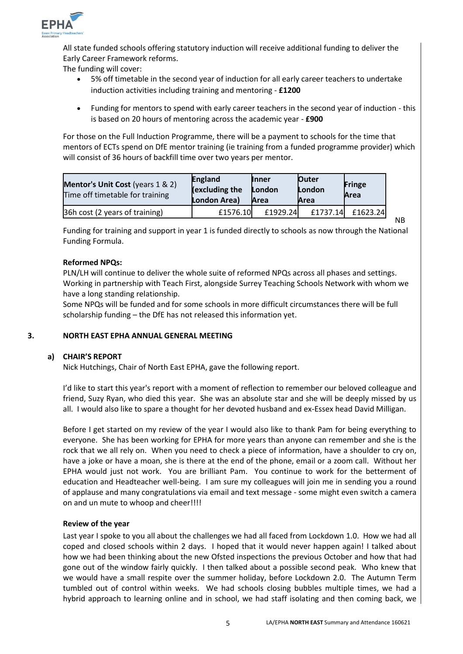

All state funded schools offering statutory induction will receive additional funding to deliver the Early Career Framework reforms.

The funding will cover:

- 5% off timetable in the second year of induction for all early career teachers to undertake induction activities including training and mentoring - **£1200**
- Funding for mentors to spend with early career teachers in the second year of induction this is based on 20 hours of mentoring across the academic year - **£900**

For those on the Full Induction Programme, there will be a payment to schools for the time that mentors of ECTs spend on DfE mentor training (ie training from a funded programme provider) which will consist of 36 hours of backfill time over two years per mentor.

| Mentor's Unit Cost (years 1 & 2)<br>Time off timetable for training | <b>England</b><br>(excluding the<br>London Area) | <b>Inner</b><br>London<br>Area | <b>Outer</b><br>London<br>Area | <b>Fringe</b><br>Area |
|---------------------------------------------------------------------|--------------------------------------------------|--------------------------------|--------------------------------|-----------------------|
| 36h cost (2 years of training)                                      | £1576.10                                         | £1929.24                       | £1737.14                       | £1623.24              |

Funding for training and support in year 1 is funded directly to schools as now through the National Funding Formula.

### **Reformed NPQs:**

PLN/LH will continue to deliver the whole suite of reformed NPQs across all phases and settings. Working in partnership with Teach First, alongside Surrey Teaching Schools Network with whom we have a long standing relationship.

Some NPQs will be funded and for some schools in more difficult circumstances there will be full scholarship funding – the DfE has not released this information yet.

#### **3. NORTH EAST EPHA ANNUAL GENERAL MEETING**

## **a) CHAIR'S REPORT**

Nick Hutchings, Chair of North East EPHA, gave the following report.

I'd like to start this year's report with a moment of reflection to remember our beloved colleague and friend, Suzy Ryan, who died this year. She was an absolute star and she will be deeply missed by us all. I would also like to spare a thought for her devoted husband and ex-Essex head David Milligan.

Before I get started on my review of the year I would also like to thank Pam for being everything to everyone. She has been working for EPHA for more years than anyone can remember and she is the rock that we all rely on. When you need to check a piece of information, have a shoulder to cry on, have a joke or have a moan, she is there at the end of the phone, email or a zoom call. Without her EPHA would just not work. You are brilliant Pam. You continue to work for the betterment of education and Headteacher well-being. I am sure my colleagues will join me in sending you a round of applause and many congratulations via email and text message - some might even switch a camera on and un mute to whoop and cheer!!!!

#### **Review of the year**

Last year I spoke to you all about the challenges we had all faced from Lockdown 1.0. How we had all coped and closed schools within 2 days. I hoped that it would never happen again! I talked about how we had been thinking about the new Ofsted inspections the previous October and how that had gone out of the window fairly quickly. I then talked about a possible second peak. Who knew that we would have a small respite over the summer holiday, before Lockdown 2.0. The Autumn Term tumbled out of control within weeks. We had schools closing bubbles multiple times, we had a hybrid approach to learning online and in school, we had staff isolating and then coming back, we

NB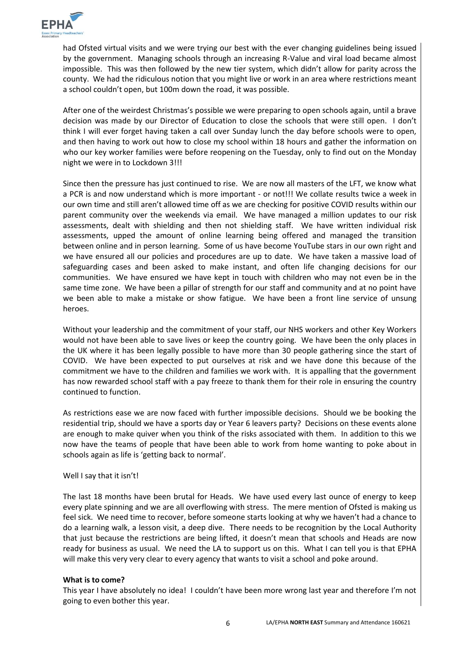

had Ofsted virtual visits and we were trying our best with the ever changing guidelines being issued by the government. Managing schools through an increasing R-Value and viral load became almost impossible. This was then followed by the new tier system, which didn't allow for parity across the county. We had the ridiculous notion that you might live or work in an area where restrictions meant a school couldn't open, but 100m down the road, it was possible.

After one of the weirdest Christmas's possible we were preparing to open schools again, until a brave decision was made by our Director of Education to close the schools that were still open. I don't think I will ever forget having taken a call over Sunday lunch the day before schools were to open, and then having to work out how to close my school within 18 hours and gather the information on who our key worker families were before reopening on the Tuesday, only to find out on the Monday night we were in to Lockdown 3!!!

Since then the pressure has just continued to rise. We are now all masters of the LFT, we know what a PCR is and now understand which is more important - or not!!! We collate results twice a week in our own time and still aren't allowed time off as we are checking for positive COVID results within our parent community over the weekends via email. We have managed a million updates to our risk assessments, dealt with shielding and then not shielding staff. We have written individual risk assessments, upped the amount of online learning being offered and managed the transition between online and in person learning. Some of us have become YouTube stars in our own right and we have ensured all our policies and procedures are up to date. We have taken a massive load of safeguarding cases and been asked to make instant, and often life changing decisions for our communities. We have ensured we have kept in touch with children who may not even be in the same time zone. We have been a pillar of strength for our staff and community and at no point have we been able to make a mistake or show fatigue. We have been a front line service of unsung heroes.

Without your leadership and the commitment of your staff, our NHS workers and other Key Workers would not have been able to save lives or keep the country going. We have been the only places in the UK where it has been legally possible to have more than 30 people gathering since the start of COVID. We have been expected to put ourselves at risk and we have done this because of the commitment we have to the children and families we work with. It is appalling that the government has now rewarded school staff with a pay freeze to thank them for their role in ensuring the country continued to function.

As restrictions ease we are now faced with further impossible decisions. Should we be booking the residential trip, should we have a sports day or Year 6 leavers party? Decisions on these events alone are enough to make quiver when you think of the risks associated with them. In addition to this we now have the teams of people that have been able to work from home wanting to poke about in schools again as life is 'getting back to normal'.

Well I say that it isn't!

The last 18 months have been brutal for Heads. We have used every last ounce of energy to keep every plate spinning and we are all overflowing with stress. The mere mention of Ofsted is making us feel sick. We need time to recover, before someone starts looking at why we haven't had a chance to do a learning walk, a lesson visit, a deep dive. There needs to be recognition by the Local Authority that just because the restrictions are being lifted, it doesn't mean that schools and Heads are now ready for business as usual. We need the LA to support us on this. What I can tell you is that EPHA will make this very very clear to every agency that wants to visit a school and poke around.

#### **What is to come?**

This year I have absolutely no idea! I couldn't have been more wrong last year and therefore I'm not going to even bother this year.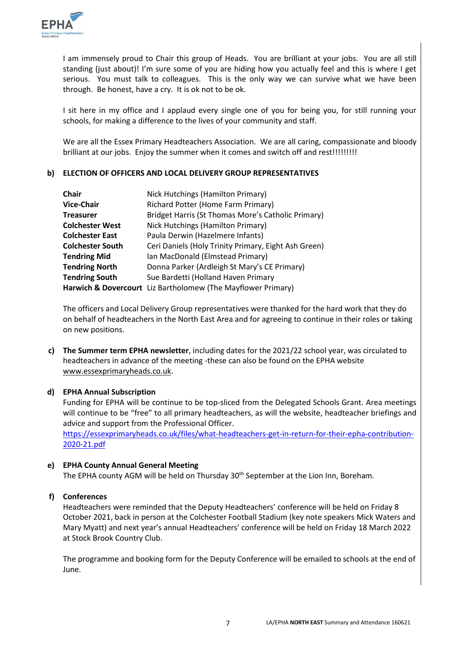

I am immensely proud to Chair this group of Heads. You are brilliant at your jobs. You are all still standing (just about)! I'm sure some of you are hiding how you actually feel and this is where I get serious. You must talk to colleagues. This is the only way we can survive what we have been through. Be honest, have a cry. It is ok not to be ok.

I sit here in my office and I applaud every single one of you for being you, for still running your schools, for making a difference to the lives of your community and staff.

We are all the Essex Primary Headteachers Association. We are all caring, compassionate and bloody brilliant at our jobs. Enjoy the summer when it comes and switch off and rest!!!!!!!!!

# **b) ELECTION OF OFFICERS AND LOCAL DELIVERY GROUP REPRESENTATIVES**

| <b>Chair</b>            | Nick Hutchings (Hamilton Primary)                            |
|-------------------------|--------------------------------------------------------------|
| <b>Vice-Chair</b>       | Richard Potter (Home Farm Primary)                           |
| <b>Treasurer</b>        | Bridget Harris (St Thomas More's Catholic Primary)           |
| <b>Colchester West</b>  | Nick Hutchings (Hamilton Primary)                            |
| <b>Colchester East</b>  | Paula Derwin (Hazelmere Infants)                             |
| <b>Colchester South</b> | Ceri Daniels (Holy Trinity Primary, Eight Ash Green)         |
| <b>Tendring Mid</b>     | Ian MacDonald (Elmstead Primary)                             |
| <b>Tendring North</b>   | Donna Parker (Ardleigh St Mary's CE Primary)                 |
| <b>Tendring South</b>   | Sue Bardetti (Holland Haven Primary                          |
|                         | Harwich & Dovercourt Liz Bartholomew (The Mayflower Primary) |

The officers and Local Delivery Group representatives were thanked for the hard work that they do on behalf of headteachers in the North East Area and for agreeing to continue in their roles or taking on new positions.

**c) The Summer term EPHA newsletter**, including dates for the 2021/22 school year, was circulated to headteachers in advance of the meeting -these can also be found on the EPHA website [www.essexprimaryheads.co.uk.](http://www.essexprimaryheads.co.uk/)

#### **d) EPHA Annual Subscription**

Funding for EPHA will be continue to be top-sliced from the Delegated Schools Grant. Area meetings will continue to be "free" to all primary headteachers, as will the website, headteacher briefings and advice and support from the Professional Officer.

[https://essexprimaryheads.co.uk/files/what-headteachers-get-in-return-for-their-epha-contribution-](https://essexprimaryheads.co.uk/files/what-headteachers-get-in-return-for-their-epha-contribution-2020-21.pdf)[2020-21.pdf](https://essexprimaryheads.co.uk/files/what-headteachers-get-in-return-for-their-epha-contribution-2020-21.pdf)

### **e) EPHA County Annual General Meeting**

The EPHA county AGM will be held on Thursday 30<sup>th</sup> September at the Lion Inn, Boreham.

#### **f) Conferences**

Headteachers were reminded that the Deputy Headteachers' conference will be held on Friday 8 October 2021, back in person at the Colchester Football Stadium (key note speakers Mick Waters and Mary Myatt) and next year's annual Headteachers' conference will be held on Friday 18 March 2022 at Stock Brook Country Club.

The programme and booking form for the Deputy Conference will be emailed to schools at the end of June.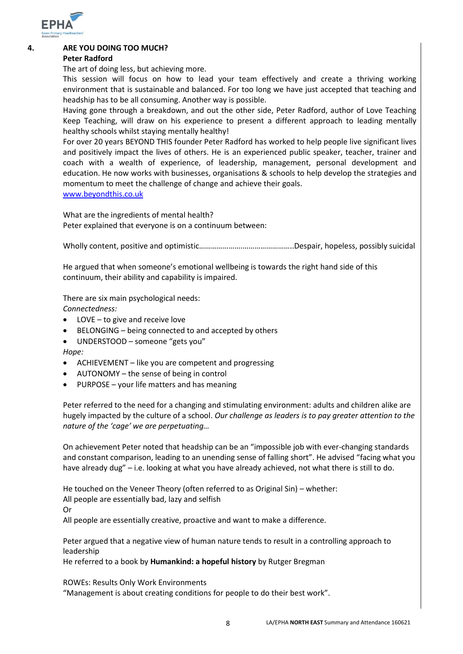

## **4. ARE YOU DOING TOO MUCH?**

### **Peter Radford**

The art of doing less, but achieving more.

This session will focus on how to lead your team effectively and create a thriving working environment that is sustainable and balanced. For too long we have just accepted that teaching and headship has to be all consuming. Another way is possible.

Having gone through a breakdown, and out the other side, Peter Radford, author of Love Teaching Keep Teaching, will draw on his experience to present a different approach to leading mentally healthy schools whilst staying mentally healthy!

For over 20 years BEYOND THIS founder Peter Radford has worked to help people live significant lives and positively impact the lives of others. He is an experienced public speaker, teacher, trainer and coach with a wealth of experience, of leadership, management, personal development and education. He now works with businesses, organisations & schools to help develop the strategies and momentum to meet the challenge of change and achieve their goals. [www.beyondthis.co.uk](http://www.beyondthis.co.uk/)

What are the ingredients of mental health? Peter explained that everyone is on a continuum between:

Wholly content, positive and optimistic………………….……………………..Despair, hopeless, possibly suicidal

He argued that when someone's emotional wellbeing is towards the right hand side of this continuum, their ability and capability is impaired.

There are six main psychological needs:

*Connectedness:*

- LOVE to give and receive love
- BELONGING being connected to and accepted by others
- UNDERSTOOD someone "gets you"

*Hope:*

- ACHIEVEMENT like you are competent and progressing
- AUTONOMY the sense of being in control
- PURPOSE your life matters and has meaning

Peter referred to the need for a changing and stimulating environment: adults and children alike are hugely impacted by the culture of a school. *Our challenge as leaders is to pay greater attention to the nature of the 'cage' we are perpetuating…*

On achievement Peter noted that headship can be an "impossible job with ever-changing standards and constant comparison, leading to an unending sense of falling short". He advised "facing what you have already dug" – i.e. looking at what you have already achieved, not what there is still to do.

He touched on the Veneer Theory (often referred to as Original Sin) – whether:

All people are essentially bad, lazy and selfish

Or

All people are essentially creative, proactive and want to make a difference.

Peter argued that a negative view of human nature tends to result in a controlling approach to leadership

He referred to a book by **Humankind: a hopeful history** by Rutger Bregman

ROWEs: Results Only Work Environments

"Management is about creating conditions for people to do their best work".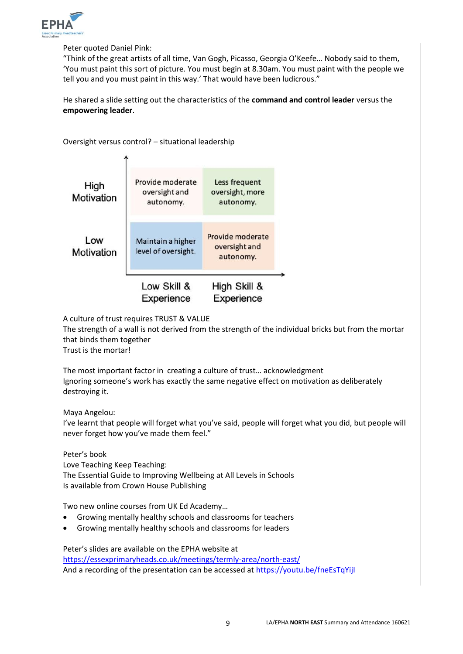

Peter quoted Daniel Pink:

"Think of the great artists of all time, Van Gogh, Picasso, Georgia O'Keefe… Nobody said to them, 'You must paint this sort of picture. You must begin at 8.30am. You must paint with the people we tell you and you must paint in this way.' That would have been ludicrous."

He shared a slide setting out the characteristics of the **command and control leader** versus the **empowering leader**.

Oversight versus control? – situational leadership Provide moderate Less frequent High oversight and oversight, more Motivation autonomy. autonomy.



Experience Experience

A culture of trust requires TRUST & VALUE

The strength of a wall is not derived from the strength of the individual bricks but from the mortar that binds them together

Trust is the mortar!

The most important factor in creating a culture of trust… acknowledgment Ignoring someone's work has exactly the same negative effect on motivation as deliberately destroying it.

Maya Angelou:

I've learnt that people will forget what you've said, people will forget what you did, but people will never forget how you've made them feel."

Peter's book Love Teaching Keep Teaching: The Essential Guide to Improving Wellbeing at All Levels in Schools Is available from Crown House Publishing

Two new online courses from UK Ed Academy…

- Growing mentally healthy schools and classrooms for teachers
- Growing mentally healthy schools and classrooms for leaders

Peter's slides are available on the EPHA website at <https://essexprimaryheads.co.uk/meetings/termly-area/north-east/> And a recording of the presentation can be accessed at<https://youtu.be/fneEsTqYijI>